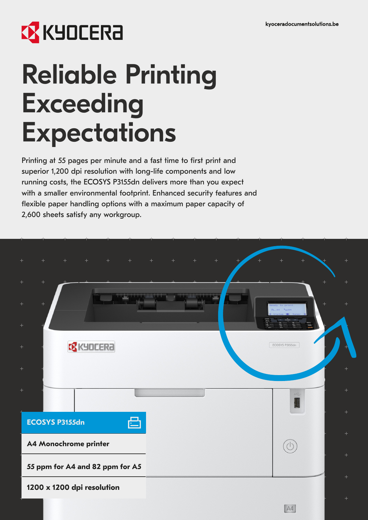## **X KYOCERA**

# Reliable Printing Exceeding **Expectations**

Printing at 55 pages per minute and a fast time to first print and superior 1,200 dpi resolution with long-life components and low running costs, the ECOSYS P3155dn delivers more than you expect with a smaller environmental footprint. Enhanced security features and flexible paper handling options with a maximum paper capacity of 2,600 sheets satisfy any workgroup.